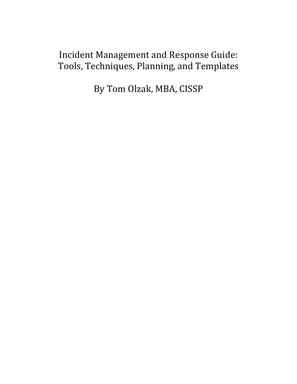# Incident Management and Response Guide: Tools, Techniques, Planning, and Templates

By Tom Olzak, MBA, CISSP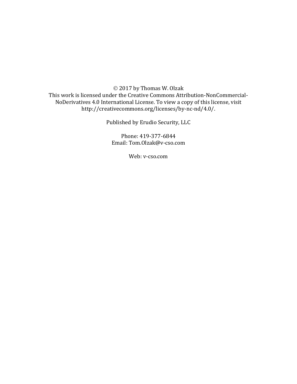$© 2017 by Thomas W. Olzak$ This work is licensed under the Creative Commons Attribution-NonCommercial-NoDerivatives 4.0 International License. To view a copy of this license, visit http://creativecommons.org/licenses/by-nc-nd/4.0/.

Published by Erudio Security, LLC

Phone: 419-377-6844 Email: Tom.Olzak@v-cso.com

Web: v-cso.com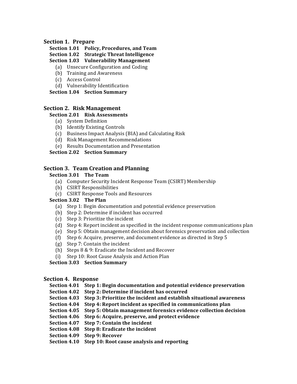#### **Section 1. Prepare**

#### **Section 1.01 Policy, Procedures, and Team**

#### **Section 1.02** Strategic Threat Intelligence

#### **Section 1.03 Vulnerability Management**

- (a) Unsecure Configuration and Coding
- (b) Training and Awareness
- (c) Access Control
- (d) Vulnerability Identification

#### **Section 1.04 Section Summary**

#### **Section 2. Risk Management**

### **Section 2.01 Risk Assessments**

- (a) System Definition
- (b) Identify Existing Controls
- (c) Business Impact Analysis (BIA) and Calculating Risk
- (d) Risk Management Recommendations
- (e) Results Documentation and Presentation

**Section 2.02 Section Summary**

#### **Section 3. Team Creation and Planning**

#### **Section 3.01 The Team**

- (a) Computer Security Incident Response Team (CSIRT) Membership
- (b) CSIRT Responsibilities
- (c) CSIRT Response Tools and Resources

#### **Section 3.02 The Plan**

- (a) Step 1: Begin documentation and potential evidence preservation
- (b) Step 2: Determine if incident has occurred
- (c) Step 3: Prioritize the incident
- (d) Step 4: Report incident as specified in the incident response communications plan
- (e) Step 5: Obtain management decision about forensics preservation and collection
- (f) Step 6: Acquire, preserve, and document evidence as directed in Step 5
- (g) Step 7: Contain the incident
- (h) Steps  $8 \& 9$ : Eradicate the Incident and Recover
- (i) Step 10: Root Cause Analysis and Action Plan

**Section 3.03 Section Summary**

#### **Section 4. Response**

**Section 4.01 Step 1: Begin documentation and potential evidence preservation** 

- **Section 4.02** Step 2: Determine if incident has occurred
- **Section 4.03** Step 3: Prioritize the incident and establish situational awareness
- **Section 4.04** Step 4: Report incident as specified in communications plan
- **Section 4.05** Step 5: Obtain management forensics evidence collection decision
- **Section 4.06** Step 6: Acquire, preserve, and protect evidence
- **Section 4.07 Step 7: Contain the incident**
- **Section 4.08 Step 8: Eradicate the incident**
- **Section 4.09 Step 9: Recover**
- **Section 4.10 Step 10: Root cause analysis and reporting**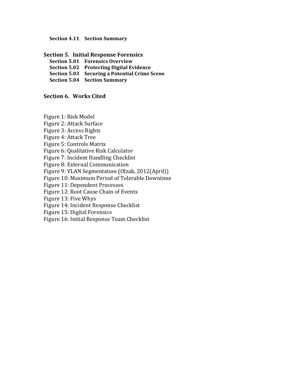**Section 4.11 Section Summary**

**Section 5. Initial Response Forensics**

**Section 5.01 Forensics Overview**

**Section 5.02** Protecting Digital Evidence

**Section 5.03 Securing a Potential Crime Scene** 

**Section 5.04 Section Summary**

#### **Section 6. Works Cited**

Figure 1: Risk Model

Figure 2: Attack Surface

Figure 3: Access Rights

Figure 4: Attack Tree

Figure 5: Controls Matrix

Figure 6: Qualitative Risk Calculator

Figure 7: Incident Handling Checklist

Figure 8: External Communication

Figure 9: VLAN Segmentation (Olzak, 2012(April))

Figure 10: Maximum Period of Tolerable Downtime

Figure 11: Dependent Processes

Figure 12: Root Cause Chain of Events

Figure 13: Five Whys

Figure 14: Incident Response Checklist

Figure 15: Digital Forensics

Figure 16: Initial Response Team Checklist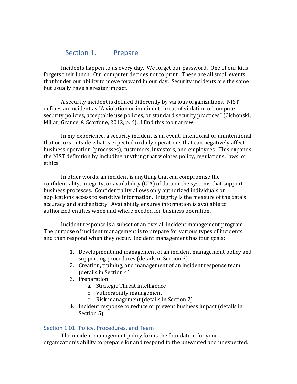## Section 1. Prepare

Incidents happen to us every day. We forget our password. One of our kids forgets their lunch. Our computer decides not to print. These are all small events that hinder our ability to move forward in our day. Security incidents are the same but usually have a greater impact.

A security incident is defined differently by various organizations. NIST defines an incident as "A violation or imminent threat of violation of computer security policies, acceptable use policies, or standard security practices" (Cichonski, Millar, Grance, & Scarfone, 2012, p. 6). I find this too narrow.

In my experience, a security incident is an event, intentional or unintentional, that occurs outside what is expected in daily operations that can negatively affect business operation (processes), customers, investors, and employees. This expands the NIST definition by including anything that violates policy, regulations, laws, or ethics.

In other words, an incident is anything that can compromise the confidentiality, integrity, or availability (CIA) of data or the systems that support business processes. Confidentiality allows only authorized individuals or applications access to sensitive information. Integrity is the measure of the data's accuracy and authenticity. Availability ensures information is available to authorized entities when and where needed for business operation.

Incident response is a subset of an overall incident management program. The purpose of incident management is to prepare for various types of incidents and then respond when they occur. Incident management has four goals:

- 1. Development and management of an incident management policy and supporting procedures (details in Section 3)
- 2. Creation, training, and management of an incident response team (details in Section 4)
- 3. Preparation
	- a. Strategic Threat intelligence
	- b. Vulnerability management
	- c. Risk management (details in Section 2)
- 4. Incident response to reduce or prevent business impact (details in Section 5)

#### Section 1.01 Policy, Procedures, and Team

The incident management policy forms the foundation for your organization's ability to prepare for and respond to the unwanted and unexpected.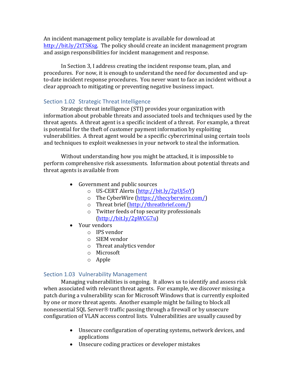An incident management policy template is available for download at http://bit.ly/2tTSKsg. The policy should create an incident management program and assign responsibilities for incident management and response.

In Section 3, I address creating the incident response team, plan, and procedures. For now, it is enough to understand the need for documented and upto-date incident response procedures. You never want to face an incident without a clear approach to mitigating or preventing negative business impact.

## Section 1.02 Strategic Threat Intelligence

Strategic threat intelligence (STI) provides your organization with information about probable threats and associated tools and techniques used by the threat agents. A threat agent is a specific incident of a threat. For example, a threat is potential for the theft of customer payment information by exploiting vulnerabilities. A threat agent would be a specific cybercriminal using certain tools and techniques to exploit weaknesses in your network to steal the information.

Without understanding how you might be attacked, it is impossible to perform comprehensive risk assessments. Information about potential threats and threat agents is available from

- Government and public sources
	- o US-CERT Alerts (http://bit.ly/2pUj5oY)
	- $\circ$  The CyberWire (https://thecyberwire.com/)
	- o Threat brief (http://threatbrief.com/)
	- $\circ$  Twitter feeds of top security professionals (http://bit.ly/2pWCG7u)
- Your vendors
	- o IPS vendor
	- o SIEM vendor
	- $\circ$  Threat analytics vendor
	- o Microsoft
	- o Apple

## Section 1.03 Vulnerability Management

Managing vulnerabilities is ongoing. It allows us to identify and assess risk when associated with relevant threat agents. For example, we discover missing a patch during a vulnerability scan for Microsoft Windows that is currently exploited by one or more threat agents. Another example might be failing to block all nonessential SQL Server<sup>®</sup> traffic passing through a firewall or by unsecure configuration of VLAN access control lists. Vulnerabilities are usually caused by

- Unsecure configuration of operating systems, network devices, and applications
- Unsecure coding practices or developer mistakes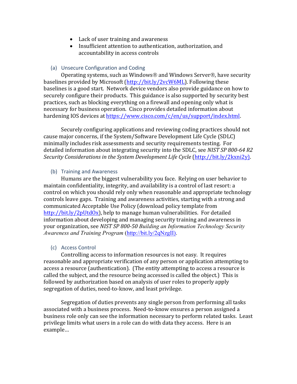- Lack of user training and awareness
- Insufficient attention to authentication, authorization, and accountability in access controls

#### (a) Unsecure Configuration and Coding

Operating systems, such as Windows<sup>®</sup> and Windows Server<sup>®</sup>, have security baselines provided by Microsoft (http://bit.ly/2vcW6ML). Following these baselines is a good start. Network device vendors also provide guidance on how to securely configure their products. This guidance is also supported by security best practices, such as blocking everything on a firewall and opening only what is necessary for business operation. Cisco provides detailed information about hardening IOS devices at https://www.cisco.com/c/en/us/support/index.html.

Securely configuring applications and reviewing coding practices should not cause major concerns, if the System/Software Development Life Cycle (SDLC) minimally includes risk assessments and security requirements testing. For detailed information about integrating security into the SDLC, see *NIST SP 800-64 R2 Security Considerations in the System Development Life Cycle* (http://bit.ly/2kxni2y).

#### (b) Training and Awareness

Humans are the biggest vulnerability you face. Relying on user behavior to maintain confidentiality, integrity, and availability is a control of last resort: a control on which you should rely only when reasonable and appropriate technology controls leave gaps. Training and awareness activities, starting with a strong and communicated Acceptable Use Policy (download policy template from  $\frac{http://bitly/2pUtdOx)}{http://bitly/2pUtdOx)}$ , help to manage human vulnerabilities. For detailed information about developing and managing security training and awareness in your organization, see NIST SP 800-50 *Building an Information Technology Security Awareness and Training Program* (http://bit.ly/2qNzgII).

#### (c) Access Control

Controlling access to information resources is not easy. It requires reasonable and appropriate verification of any person or application attempting to access a resource (authentication). (The entity attempting to access a resource is called the subject, and the resource being accessed is called the object.) This is followed by authorization based on analysis of user roles to properly apply segregation of duties, need-to-know, and least privilege.

Segregation of duties prevents any single person from performing all tasks associated with a business process. Need-to-know ensures a person assigned a business role only can see the information necessary to perform related tasks. Least privilege limits what users in a role can do with data they access. Here is an example…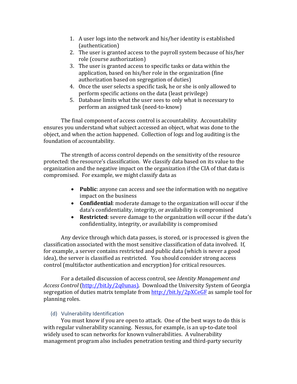- 1. A user logs into the network and his/her identity is established (authentication)
- 2. The user is granted access to the payroll system because of his/her role (course authorization)
- 3. The user is granted access to specific tasks or data within the application, based on his/her role in the organization (fine authorization based on segregation of duties)
- 4. Once the user selects a specific task, he or she is only allowed to perform specific actions on the data (least privilege)
- 5. Database limits what the user sees to only what is necessary to perform an assigned task (need-to-know)

The final component of access control is accountability. Accountability ensures you understand what subject accessed an object, what was done to the object, and when the action happened. Collection of logs and log auditing is the foundation of accountability.

The strength of access control depends on the sensitivity of the resource protected: the resource's classification. We classify data based on its value to the organization and the negative impact on the organization if the CIA of that data is compromised. For example, we might classify data as

- **Public**: anyone can access and see the information with no negative impact on the business
- **Confidential**: moderate damage to the organization will occur if the data's confidentiality, integrity, or availability is compromised
- **Restricted**: severe damage to the organization will occur if the data's confidentiality, integrity, or availability is compromised

Any device through which data passes, is stored, or is processed is given the classification associated with the most sensitive classification of data involved. If, for example, a server contains restricted and public data (which is never a good idea), the server is classified as restricted. You should consider strong access control (multifactor authentication and encryption) for critical resources.

For a detailed discussion of access control, see *Identity Management and* Access Control (http://bit.ly/2q0unas). Download the University System of Georgia segregation of duties matrix template from  $http://bitly/2pXCeGF$  as sample tool for planning roles.

## (d) Vulnerability Identification

You must know if you are open to attack. One of the best ways to do this is with regular vulnerability scanning. Nessus, for example, is an up-to-date tool widely used to scan networks for known vulnerabilities. A vulnerability management program also includes penetration testing and third-party security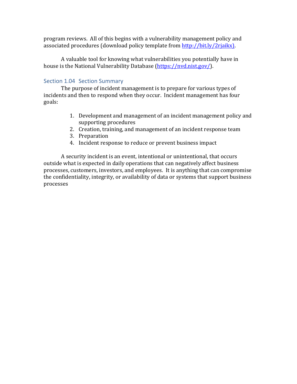program reviews. All of this begins with a vulnerability management policy and associated procedures (download policy template from http://bit.ly/2rjaikx).

A valuable tool for knowing what vulnerabilities you potentially have in house is the National Vulnerability Database (https://nvd.nist.gov/).

### Section 1.04 Section Summary

The purpose of incident management is to prepare for various types of incidents and then to respond when they occur. Incident management has four goals:

- 1. Development and management of an incident management policy and supporting procedures
- 2. Creation, training, and management of an incident response team
- 3. Preparation
- 4. Incident response to reduce or prevent business impact

A security incident is an event, intentional or unintentional, that occurs outside what is expected in daily operations that can negatively affect business processes, customers, investors, and employees. It is anything that can compromise the confidentiality, integrity, or availability of data or systems that support business processes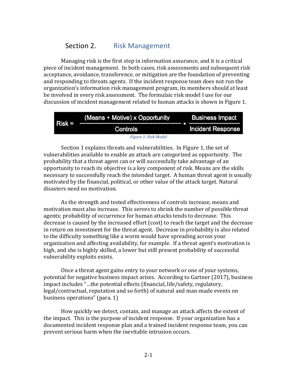## Section 2. Risk Management

Managing risk is the first step in information assurance, and it is a critical piece of incident management. In both cases, risk assessments and subsequent risk acceptance, avoidance, transference, or mitigation are the foundation of preventing and responding to threats agents. If the incident response team does not run the organization's information risk management program, its members should at least be involved in every risk assessment. The formulaic risk model I use for our discussion of incident management related to human attacks is shown in Figure 1.



Section 1 explains threats and vulnerabilities. In Figure 1, the set of vulnerabilities available to enable an attack are categorized as opportunity. The probability that a threat agent can or will successfully take advantage of an opportunity to reach its objective is a key component of risk. Means are the skills necessary to successfully reach the intended target. A human threat agent is usually motivated by the financial, political, or other value of the attack target. Natural disasters need no motivation.

As the strength and tested effectiveness of controls increase, means and motivation must also increase. This serves to shrink the number of possible threat agents; probability of occurrence for human attacks tends to decrease. This decrease is caused by the increased effort (cost) to reach the target and the decrease in return on investment for the threat agent. Decrease in probability is also related to the difficulty something like a worm would have spreading across your organization and affecting availability, for example. If a threat agent's motivation is high, and she is highly skilled, a lower but still present probability of successful vulnerability exploits exists.

Once a threat agent gains entry to your network or one of your systems, potential for negative business impact arises. According to Gartner (2017), business impact includes "...the potential effects (financial, life/safety, regulatory, legal/contractual, reputation and so forth) of natural and man-made events on business operations" (para. 1)

How quickly we detect, contain, and manage an attack affects the extent of the impact. This is the purpose of incident response. If your organization has a documented incident response plan and a trained incident response team, you can prevent serious harm when the inevitable intrusion occurs.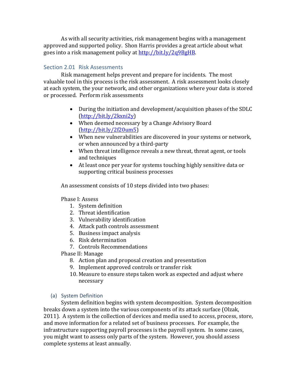As with all security activities, risk management begins with a management approved and supported policy. Shon Harris provides a great article about what goes into a risk management policy at http://bit.ly/2q9BgHB.

## Section 2.01 Risk Assessments

Risk management helps prevent and prepare for incidents. The most valuable tool in this process is the risk assessment. A risk assessment looks closely at each system, the your network, and other organizations where your data is stored or processed. Perform risk assessments

- During the initiation and development/acquisition phases of the SDLC (http://bit.ly/2kxni2y)
- When deemed necessary by a Change Advisory Board (http://bit.ly/2f20um5)
- When new vulnerabilities are discovered in your systems or network, or when announced by a third-party
- When threat intelligence reveals a new threat, threat agent, or tools and techniques
- At least once per year for systems touching highly sensitive data or supporting critical business processes

An assessment consists of 10 steps divided into two phases:

## Phase I: Assess

- 1. System definition
- 2. Threat identification
- 3. Vulnerability identification
- 4. Attack path controls assessment
- 5. Business impact analysis
- 6. Risk determination
- 7. Controls Recommendations

Phase II: Manage

- 8. Action plan and proposal creation and presentation
- 9. Implement approved controls or transfer risk
- 10. Measure to ensure steps taken work as expected and adjust where necessary

## (a) System Definition

System definition begins with system decomposition. System decomposition breaks down a system into the various components of its attack surface (Olzak, 2011). A system is the collection of devices and media used to access, process, store, and move information for a related set of business processes. For example, the infrastructure supporting payroll processes is the payroll system. In some cases, you might want to assess only parts of the system. However, you should assess complete systems at least annually.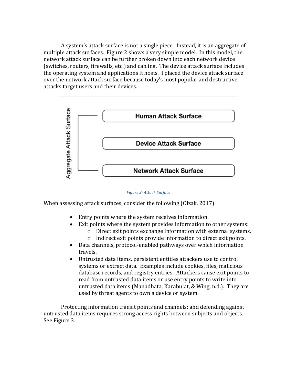A system's attack surface is not a single piece. Instead, it is an aggregate of multiple attack surfaces. Figure 2 shows a very simple model. In this model, the network attack surface can be further broken down into each network device (switches, routers, firewalls, etc.) and cabling. The device attack surface includes the operating system and applications it hosts. I placed the device attack surface over the network attack surface because today's most popular and destructive attacks target users and their devices.





When assessing attack surfaces, consider the following  $(Olzak, 2017)$ 

- Entry points where the system receives information.
- Exit points where the system provides information to other systems:
	- $\circ$  Direct exit points exchange information with external systems.
	- $\circ$  Indirect exit points provide information to direct exit points.
- Data channels, protocol-enabled pathways over which information travels.
- Untrusted data items, persistent entities attackers use to control systems or extract data. Examples include cookies, files, malicious database records, and registry entries. Attackers cause exit points to read from untrusted data items or use entry points to write into untrusted data items (Manadhata, Karabulat, & Wing, n.d.). They are used by threat agents to own a device or system.

Protecting information transit points and channels; and defending against untrusted data items requires strong access rights between subjects and objects. See Figure 3.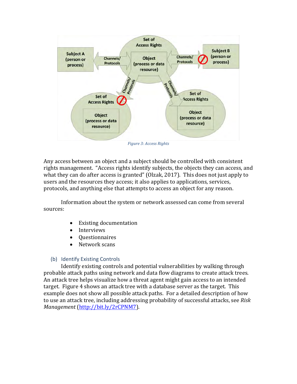

*Figure 3: Access Rights*

Any access between an object and a subject should be controlled with consistent rights management. "Access rights identify subjects, the objects they can access, and what they can do after access is granted" (Olzak, 2017). This does not just apply to users and the resources they access; it also applies to applications, services, protocols, and anything else that attempts to access an object for any reason.

Information about the system or network assessed can come from several sources:

- **Existing documentation**
- **Interviews**
- Questionnaires
- Network scans

#### (b) Identify Existing Controls

Identify existing controls and potential vulnerabilities by walking through probable attack paths using network and data flow diagrams to create attack trees. An attack tree helps visualize how a threat agent might gain access to an intended target. Figure 4 shows an attack tree with a database server as the target. This example does not show all possible attack paths. For a detailed description of how to use an attack tree, including addressing probability of successful attacks, see *Risk Management* (http://bit.ly/2rCPNM7).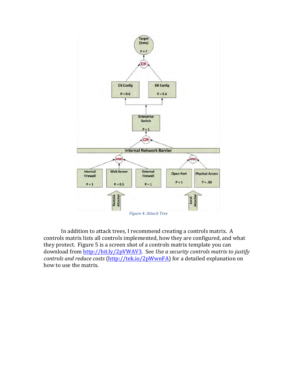

In addition to attack trees, I recommend creating a controls matrix. A controls matrix lists all controls implemented, how they are configured, and what they protect. Figure 5 is a screen shot of a controls matrix template you can download from http://bit.ly/2pVWAV3. See *Use a security controls matrix to justify controls and reduce costs* (http://tek.io/2pWwnFA) for a detailed explanation on how to use the matrix.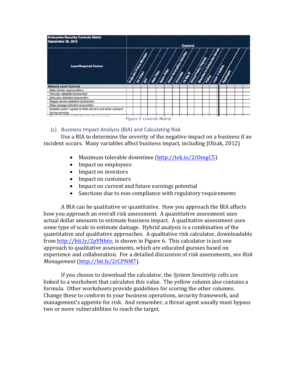

## (c) Business Impact Analysis (BIA) and Calculating Risk

Use a BIA to determine the severity of the negative impact on a business if an incident occurs. Many variables affect business impact, including (Olzak, 2012)

- Maximum tolerable downtime (http://tek.io/2rDmgC5)
- Impact on employees
- Impact on investors
- Impact on customers
- Impact on current and future earnings potential
- Sanctions due to non-compliance with regulatory requirements

A BIA can be qualitative or quantitative. How you approach the BIA affects how you approach an overall risk assessment. A quantitative assessment uses actual dollar amounts to estimate business impact. A qualitative assessment uses some type of scale to estimate damage. Hybrid analysis is a combination of the quantitative and qualitative approaches. A qualitative risk calculator, downloadable from  $http://bit.ly/2pYNh6r$ , is shown in Figure 6. This calculator is just one approach to qualitative assessments, which are educated guesses based on experience and collaboration. For a detailed discussion of risk assessments, see Risk *Management* (http://bit.ly/2rCPNM7).

If you choose to download the calculator, the *System Sensitivity* cells are linked to a worksheet that calculates this value. The yellow column also contains a formula. Other worksheets provide guidelines for scoring the other columns. Change these to conform to your business operations, security framework, and management's appetite for risk. And remember, a threat agent usually must bypass two or more vulnerabilities to reach the target.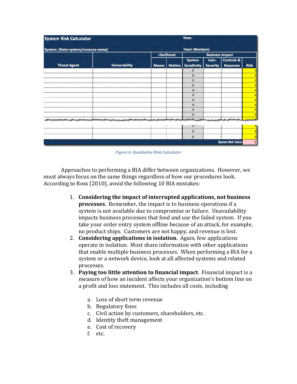| <b>System Risk Calculator</b>        |                      |                      |               | Date:                               |                          |                               |             |
|--------------------------------------|----------------------|----------------------|---------------|-------------------------------------|--------------------------|-------------------------------|-------------|
| System: [Enter system/resource name] |                      | <b>Team Members:</b> |               |                                     |                          |                               |             |
|                                      |                      | Likelihood           |               | <b>Business Impact</b>              |                          |                               |             |
| <b>Threat Agent</b>                  | <b>Vulnerability</b> | <b>Means</b>         | <b>Motive</b> | <b>System</b><br><b>Sensitivity</b> | Vuln.<br><b>Severity</b> | Controls &<br><b>Response</b> | <b>Risk</b> |
|                                      |                      |                      |               | $\circ$                             |                          |                               |             |
|                                      |                      |                      |               | $\mathbf{O}$                        |                          |                               |             |
|                                      |                      |                      |               | $\Omega$                            |                          |                               |             |
|                                      |                      |                      |               | $\bf{0}$                            |                          |                               |             |
|                                      |                      |                      |               | $\mathbf{0}$                        |                          |                               |             |
|                                      |                      |                      |               | $\mathbf{0}$                        |                          |                               |             |
|                                      |                      |                      |               | $\mathbf{0}$                        |                          |                               |             |
|                                      |                      |                      |               | $\mathbf{0}$                        |                          |                               |             |
|                                      |                      |                      |               | $\mathbf{0}$                        |                          |                               |             |
|                                      |                      |                      |               | $\mathbf{0}$                        |                          |                               |             |
|                                      |                      |                      |               | $\sim$                              |                          |                               |             |
|                                      |                      |                      |               | U                                   |                          |                               |             |
|                                      |                      |                      |               | $\mathbf{0}$                        |                          |                               |             |
|                                      |                      |                      |               | $\mathbf{0}$                        |                          |                               |             |
|                                      |                      |                      |               |                                     |                          | <b>System Risk Value</b>      |             |

*Figure 6: Qualitative Risk Calculator*

Approaches to performing a BIA differ between organizations. However, we must always focus on the same things regardless of how our procedures look. According to Ross (2010), avoid the following 10 BIA mistakes:

- 1. Considering the impact of interrupted applications, not business **processes**. Remember, the impact is to business operations if a system is not available due to compromise or failure. Unavailability impacts business processes that feed and use the failed system. If you take your order entry system offline because of an attack, for example, no product ships. Customers are not happy, and revenue is lost.
- 2. **Considering applications in isolation**. Again, few applications operate in isolation. Most share information with other applications that enable multiple business processes. When performing a BIA for a system or a network device, look at all affected systems and related processes.
- 3. Paying too little attention to financial impact. Financial impact is a measure of how an incident affects your organization's bottom line on a profit and loss statement. This includes all costs, including
	- a. Loss of short term revenue
	- b. Regulatory fines
	- c. Civil action by customers, shareholders, etc.
	- d. Identity theft management
	- e. Cost of recovery
	- f. etc.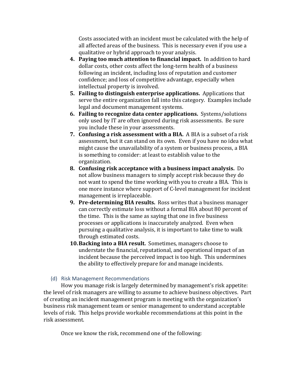Costs associated with an incident must be calculated with the help of all affected areas of the business. This is necessary even if you use a qualitative or hybrid approach to your analysis.

- **4.** Paying too much attention to financial impact. In addition to hard dollar costs, other costs affect the long-term health of a business following an incident, including loss of reputation and customer confidence; and loss of competitive advantage, especially when intellectual property is involved.
- **5. Failing to distinguish enterprise applications.** Applications that serve the entire organization fall into this category. Examples include legal and document management systems.
- **6.** Failing to recognize data center applications. Systems/solutions only used by IT are often ignored during risk assessments. Be sure you include these in your assessments.
- **7. Confusing a risk assessment with a BIA.** A BIA is a subset of a risk assessment, but it can stand on its own. Even if you have no idea what might cause the unavailability of a system or business process, a BIA is something to consider: at least to establish value to the organization.
- **8.** Confusing risk acceptance with a business impact analysis. Do not allow business managers to simply accept risk because they do not want to spend the time working with you to create a BIA. This is one more instance where support of C-level management for incident management is irreplaceable.
- **9. Pre-determining BIA results.** Ross writes that a business manager can correctly estimate loss without a formal BIA about 80 percent of the time. This is the same as saying that one in five business processes or applications is inaccurately analyzed. Even when pursuing a qualitative analysis, it is important to take time to walk through estimated costs.
- **10. Backing into a BIA result.** Sometimes, managers choose to understate the financial, reputational, and operational impact of an incident because the perceived impact is too high. This undermines the ability to effectively prepare for and manage incidents.

## (d) Risk Management Recommendations

How you manage risk is largely determined by management's risk appetite: the level of risk managers are willing to assume to achieve business objectives. Part of creating an incident management program is meeting with the organization's business risk management team or senior management to understand acceptable levels of risk. This helps provide workable recommendations at this point in the risk assessment. 

Once we know the risk, recommend one of the following: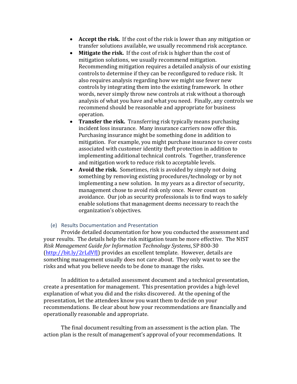- **Accept the risk.** If the cost of the risk is lower than any mitigation or transfer solutions available, we usually recommend risk acceptance.
- Mitigate the risk. If the cost of risk is higher than the cost of mitigation solutions, we usually recommend mitigation. Recommending mitigation requires a detailed analysis of our existing controls to determine if they can be reconfigured to reduce risk. It also requires analysis regarding how we might use fewer new controls by integrating them into the existing framework. In other words, never simply throw new controls at risk without a thorough analysis of what you have and what you need. Finally, any controls we recommend should be reasonable and appropriate for business operation.
- **Transfer the risk.** Transferring risk typically means purchasing incident loss insurance. Many insurance carriers now offer this. Purchasing insurance might be something done in addition to mitigation. For example, you might purchase insurance to cover costs associated with customer identity theft protection in addition to implementing additional technical controls. Together, transference and mitigation work to reduce risk to acceptable levels.
- **Avoid the risk.** Sometimes, risk is avoided by simply not doing something by removing existing procedures/technology or by not implementing a new solution. In my years as a director of security, management chose to avoid risk only once. Never count on avoidance. Our job as security professionals is to find ways to safely enable solutions that management deems necessary to reach the organization's objectives.

#### (e) Results Documentation and Presentation

Provide detailed documentation for how you conducted the assessment and your results. The details help the risk mitigation team be more effective. The NIST *Risk Management Guide for Information Technology Systems*, SP 800-30 (http://bit.ly/2rLdVf) provides an excellent template. However, details are something management usually does not care about. They only want to see the risks and what you believe needs to be done to manage the risks.

In addition to a detailed assessment document and a technical presentation, create a presentation for management. This presentation provides a high-level explanation of what you did and the risks discovered. At the opening of the presentation, let the attendees know you want them to decide on your recommendations. Be clear about how your recommendations are financially and operationally reasonable and appropriate.

The final document resulting from an assessment is the action plan. The action plan is the result of management's approval of your recommendations. It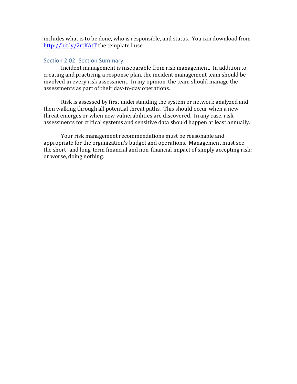includes what is to be done, who is responsible, and status. You can download from http://bit.ly/2rtKAtT the template I use.

#### Section 2.02 Section Summary

Incident management is inseparable from risk management. In addition to creating and practicing a response plan, the incident management team should be involved in every risk assessment. In my opinion, the team should manage the assessments as part of their day-to-day operations.

Risk is assessed by first understanding the system or network analyzed and then walking through all potential threat paths. This should occur when a new threat emerges or when new vulnerabilities are discovered. In any case, risk assessments for critical systems and sensitive data should happen at least annually.

Your risk management recommendations must be reasonable and appropriate for the organization's budget and operations. Management must see the short- and long-term financial and non-financial impact of simply accepting risk: or worse, doing nothing.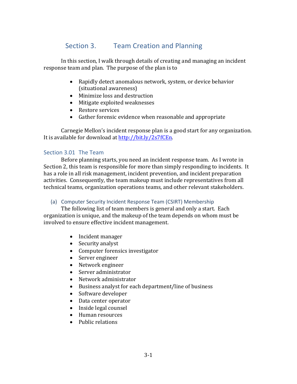## Section 3. Team Creation and Planning

In this section, I walk through details of creating and managing an incident response team and plan. The purpose of the plan is to

- Rapidly detect anomalous network, system, or device behavior (situational awareness)
- Minimize loss and destruction
- Mitigate exploited weaknesses
- Restore services
- $\bullet$  Gather forensic evidence when reasonable and appropriate

Carnegie Mellon's incident response plan is a good start for any organization. It is available for download at http://bit.ly/2s7fCEn.

## Section 3.01 The Team

Before planning starts, you need an incident response team. As I wrote in Section 2, this team is responsible for more than simply responding to incidents. It has a role in all risk management, incident prevention, and incident preparation activities. Consequently, the team makeup must include representatives from all technical teams, organization operations teams, and other relevant stakeholders.

## (a) Computer Security Incident Response Team (CSIRT) Membership

The following list of team members is general and only a start. Each organization is unique, and the makeup of the team depends on whom must be involved to ensure effective incident management.

- Incident manager
- Security analyst
- Computer forensics investigator
- Server engineer
- Network engineer
- Server administrator
- Network administrator
- Business analyst for each department/line of business
- Software developer
- Data center operator
- Inside legal counsel
- Human resources
- Public relations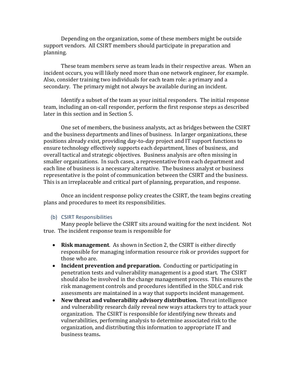Depending on the organization, some of these members might be outside support vendors. All CSIRT members should participate in preparation and planning. 

These team members serve as team leads in their respective areas. When an incident occurs, you will likely need more than one network engineer, for example. Also, consider training two individuals for each team role: a primary and a secondary. The primary might not always be available during an incident.

Identify a subset of the team as your initial responders. The initial response team, including an on-call responder, perform the first response steps as described later in this section and in Section 5.

One set of members, the business analysts, act as bridges between the CSIRT and the business departments and lines of business. In larger organizations, these positions already exist, providing day-to-day project and IT support functions to ensure technology effectively supports each department, lines of business, and overall tactical and strategic objectives. Business analysis are often missing in smaller organizations. In such cases, a representative from each department and each line of business is a necessary alternative. The business analyst or business representative is the point of communication between the CSIRT and the business. This is an irreplaceable and critical part of planning, preparation, and response.

Once an incident response policy creates the CSIRT, the team begins creating plans and procedures to meet its responsibilities.

#### (b) CSIRT Responsibilities

Many people believe the CSIRT sits around waiting for the next incident. Not true. The incident response team is responsible for

- Risk management. As shown in Section 2, the CSIRT is either directly responsible for managing information resource risk or provides support for those who are.
- Incident prevention and preparation. Conducting or participating in penetration tests and vulnerability management is a good start. The CSIRT should also be involved in the change management process. This ensures the risk management controls and procedures identified in the SDLC and risk assessments are maintained in a way that supports incident management.
- New threat and vulnerability advisory distribution. Threat intelligence and vulnerability research daily reveal new ways attackers try to attack your organization. The CSIRT is responsible for identifying new threats and vulnerabilities, performing analysis to determine associated risk to the organization, and distributing this information to appropriate IT and business teams**.**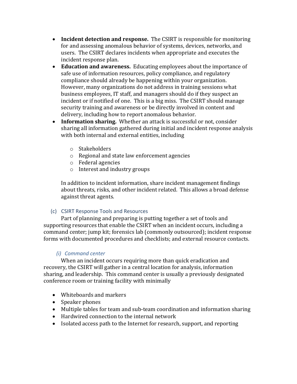- Incident detection and response. The CSIRT is responsible for monitoring for and assessing anomalous behavior of systems, devices, networks, and users. The CSIRT declares incidents when appropriate and executes the incident response plan.
- Education and awareness. Educating employees about the importance of safe use of information resources, policy compliance, and regulatory compliance should already be happening within your organization. However, many organizations do not address in training sessions what business employees, IT staff, and managers should do if they suspect an incident or if notified of one. This is a big miss. The CSIRT should manage security training and awareness or be directly involved in content and delivery, including how to report anomalous behavior.
- **Information sharing.** Whether an attack is successful or not, consider sharing all information gathered during initial and incident response analysis with both internal and external entities, including
	- o Stakeholders
	- $\circ$  Regional and state law enforcement agencies
	- $\circ$  Federal agencies
	- $\circ$  Interest and industry groups

In addition to incident information, share incident management findings about threats, risks, and other incident related. This allows a broad defense against threat agents.

## (c) CSIRT Response Tools and Resources

Part of planning and preparing is putting together a set of tools and supporting resources that enable the CSIRT when an incident occurs, including a command center; jump kit; forensics lab (commonly outsourced); incident response forms with documented procedures and checklists; and external resource contacts.

## *(i) Command center*

When an incident occurs requiring more than quick eradication and recovery, the CSIRT will gather in a central location for analysis, information sharing, and leadership. This command center is usually a previously designated conference room or training facility with minimally

- Whiteboards and markers
- Speaker phones
- Multiple tables for team and sub-team coordination and information sharing
- $\bullet$  Hardwired connection to the internal network
- Isolated access path to the Internet for research, support, and reporting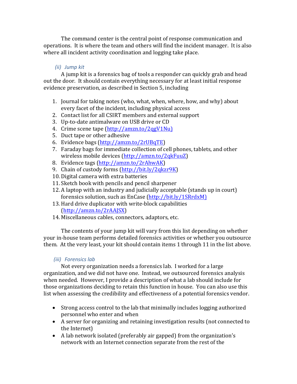The command center is the central point of response communication and operations. It is where the team and others will find the incident manager. It is also where all incident activity coordination and logging take place.

## *(ii) Jump kit*

A jump kit is a forensics bag of tools a responder can quickly grab and head out the door. It should contain everything necessary for at least initial response evidence preservation, as described in Section 5, including

- 1. Journal for taking notes (who, what, when, where, how, and why) about every facet of the incident, including physical access
- 2. Contact list for all CSIRT members and external support
- 3. Up-to-date antimalware on USB drive or CD
- 4. Crime scene tape (http://amzn.to/2qgV1Nu)
- 5. Duct tape or other adhesive
- 6. Evidence bags (http://amzn.to/2rUBqTE)
- 7. Faraday bags for immediate collection of cell phones, tablets, and other wireless mobile devices (http://amzn.to/2qkFuuZ)
- 8. Evidence tags (http://amzn.to/2rAhwAK)
- 9. Chain of custody forms (http://bit.ly/2qkzr9K)
- 10. Digital camera with extra batteries
- 11. Sketch book with pencils and pencil sharpener
- 12. A laptop with an industry and judicially acceptable (stands up in court) forensics solution, such as EnCase (http://bit.ly/1SRrdxM)
- 13. Hard drive duplicator with write-block capabilities (http://amzn.to/2rAAJSX)
- 14. Miscellaneous cables, connectors, adaptors, etc.

The contents of your jump kit will vary from this list depending on whether your in-house team performs detailed forensics activities or whether you outsource them. At the very least, your kit should contain items 1 through 11 in the list above.

## *(iii)* Forensics lab

Not every organization needs a forensics lab. I worked for a large organization, and we did not have one. Instead, we outsourced forensics analysis when needed. However, I provide a description of what a lab should include for those organizations deciding to retain this function in house. You can also use this list when assessing the credibility and effectiveness of a potential forensics vendor.

- Strong access control to the lab that minimally includes logging authorized personnel who enter and when
- A server for organizing and retaining investigation results (not connected to the Internet)
- A lab network isolated (preferably air gapped) from the organization's network with an Internet connection separate from the rest of the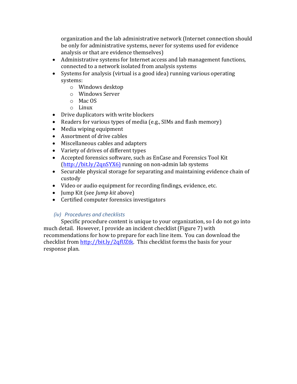organization and the lab administrative network (Internet connection should be only for administrative systems, never for systems used for evidence analysis or that are evidence themselves)

- Administrative systems for Internet access and lab management functions, connected to a network isolated from analysis systems
- Systems for analysis (virtual is a good idea) running various operating systems:
	- o Windows desktop
	- o Windows Server
	- $O$  Mac OS
	- o Linux
- Drive duplicators with write blockers
- Readers for various types of media (e.g., SIMs and flash memory)
- Media wiping equipment
- Assortment of drive cables
- Miscellaneous cables and adapters
- Variety of drives of different types
- Accepted forensics software, such as EnCase and Forensics Tool Kit  $(http://bitly/2qnSYX6)$  running on non-admin lab systems
- Securable physical storage for separating and maintaining evidence chain of custody
- Video or audio equipment for recording findings, evidence, etc.
- Jump Kit (see *Jump kit* above)
- Certified computer forensics investigators

## *(iv)* Procedures and checklists

Specific procedure content is unique to your organization, so I do not go into much detail. However, I provide an incident checklist (Figure 7) with recommendations for how to prepare for each line item. You can download the checklist from  $\frac{http://bit.ly/2qfUZtk.}$  This checklist forms the basis for your response plan.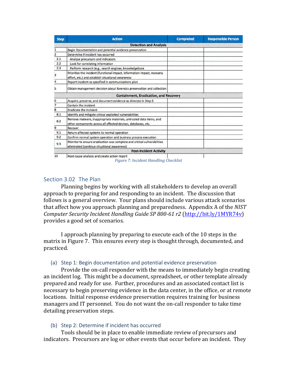| <b>Step</b>     | <b>Action</b>                                                                                                                       | <b>Completed</b> | <b>Responsible Person</b> |  |  |  |
|-----------------|-------------------------------------------------------------------------------------------------------------------------------------|------------------|---------------------------|--|--|--|
|                 | <b>Detection and Analysis</b>                                                                                                       |                  |                           |  |  |  |
|                 | Begin Documentation and potential evidence preservation                                                                             |                  |                           |  |  |  |
|                 | Determine if incident has occurred                                                                                                  |                  |                           |  |  |  |
| 2.1             | Analyze precursors and indicators                                                                                                   |                  |                           |  |  |  |
| 2.2             | Look for correlating information                                                                                                    |                  |                           |  |  |  |
| 2.3             | Perform research (e.g., search engines, knowledgebase                                                                               |                  |                           |  |  |  |
| 3               | Prioritize the incident (functional impact, information impact, recovery<br>effort, etc.) and establish situational awareness       |                  |                           |  |  |  |
|                 | Report incident as specified in communications plan                                                                                 |                  |                           |  |  |  |
|                 | Obtain management decision about forensics preservation and collection                                                              |                  |                           |  |  |  |
|                 | <b>Containment, Eradication, and Recovery</b>                                                                                       |                  |                           |  |  |  |
|                 | Acquire, preserve, and document evidence as directed in Step 5                                                                      |                  |                           |  |  |  |
|                 | Contain the incident                                                                                                                |                  |                           |  |  |  |
|                 | <b>Eradicate the incident</b>                                                                                                       |                  |                           |  |  |  |
| 8.1             | Identify and mitigate critical exploited vulnerabilities                                                                            |                  |                           |  |  |  |
| 8.2             | Remove malware, inappropriate materials, untrusted data items, and<br>other components across all affected devices, databases, etc. |                  |                           |  |  |  |
| 9               | Recover                                                                                                                             |                  |                           |  |  |  |
| 9.1             | Return affected systems to normal operation                                                                                         |                  |                           |  |  |  |
| 9.2             | Confirm normal system operation and business process execution                                                                      |                  |                           |  |  |  |
| 9.3             | Monitor to ensure eradication was complete and critical vulnerabilities<br>eliminated (continue situational awareness)              |                  |                           |  |  |  |
|                 | <b>Post-Incident Activity</b>                                                                                                       |                  |                           |  |  |  |
| 10 <sup>1</sup> | Root cause analysis and create action report                                                                                        |                  |                           |  |  |  |



## Section 3.02 The Plan

Planning begins by working with all stakeholders to develop an overall approach to preparing for and responding to an incident. The discussion that follows is a general overview. Your plans should include various attack scenarios that affect how you approach planning and preparedness. Appendix A of the *NIST Computer Security Incident Handling Guide SP 800-61 r2* (http://bit.ly/1MYR74v) provides a good set of scenarios.

I approach planning by preparing to execute each of the 10 steps in the matrix in Figure 7. This ensures every step is thought through, documented, and practiced. 

## (a) Step 1: Begin documentation and potential evidence preservation

Provide the on-call responder with the means to immediately begin creating an incident log. This might be a document, spreadsheet, or other template already prepared and ready for use. Further, procedures and an associated contact list is necessary to begin preserving evidence in the data center, in the office, or at remote locations. Initial response evidence preservation requires training for business managers and IT personnel. You do not want the on-call responder to take time detailing preservation steps.

#### (b) Step 2: Determine if incident has occurred

Tools should be in place to enable immediate review of precursors and indicators. Precursors are log or other events that occur before an incident. They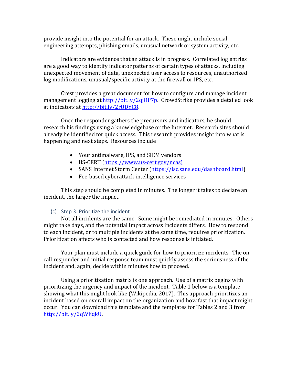provide insight into the potential for an attack. These might include social engineering attempts, phishing emails, unusual network or system activity, etc.

Indicators are evidence that an attack is in progress. Correlated log entries are a good way to identify indicator patterns of certain types of attacks, including unexpected movement of data, unexpected user access to resources, unauthorized log modifications, unusual/specific activity at the firewall or IPS, etc.

Crest provides a great document for how to configure and manage incident management logging at http://bit.ly/2qj0P7p. CrowdStrike provides a detailed look at indicators at http://bit.ly/2rUDYC8.

Once the responder gathers the precursors and indicators, he should research his findings using a knowledgebase or the Internet. Research sites should already be identified for quick access. This research provides insight into what is happening and next steps. Resources include

- Your antimalware, IPS, and SIEM vendors
- US-CERT (https://www.us-cert.gov/ncas)
- SANS Internet Storm Center (https://isc.sans.edu/dashboard.html)
- Fee-based cyberattack intelligence services

This step should be completed in minutes. The longer it takes to declare an incident, the larger the impact.

## (c) Step 3: Prioritize the incident

Not all incidents are the same. Some might be remediated in minutes. Others might take days, and the potential impact across incidents differs. How to respond to each incident, or to multiple incidents at the same time, requires prioritization. Prioritization affects who is contacted and how response is initiated.

Your plan must include a quick guide for how to prioritize incidents. The oncall responder and initial response team must quickly assess the seriousness of the incident and, again, decide within minutes how to proceed.

Using a prioritization matrix is one approach. Use of a matrix begins with prioritizing the urgency and impact of the incident. Table 1 below is a template showing what this might look like (Wikipedia, 2017). This approach prioritizes an incident based on overall impact on the organization and how fast that impact might occur. You can download this template and the templates for Tables 2 and 3 from http://bit.ly/2qWEqkU.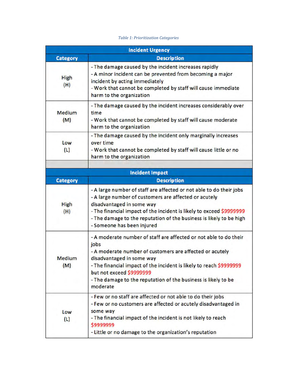#### *Table 1: Prioritization Categories*

|                                                                                                                                                                                          | <b>Incident Urgency</b>                                                                                                                                                                                                                                                                                                                             |  |  |  |  |
|------------------------------------------------------------------------------------------------------------------------------------------------------------------------------------------|-----------------------------------------------------------------------------------------------------------------------------------------------------------------------------------------------------------------------------------------------------------------------------------------------------------------------------------------------------|--|--|--|--|
| <b>Category</b>                                                                                                                                                                          | <b>Description</b>                                                                                                                                                                                                                                                                                                                                  |  |  |  |  |
| High<br>(H)                                                                                                                                                                              | - The damage caused by the incident increases rapidly<br>- A minor incident can be prevented from becoming a major<br>incident by acting immediately<br>- Work that cannot be completed by staff will cause immediate<br>harm to the organization                                                                                                   |  |  |  |  |
| Medium<br>(M)                                                                                                                                                                            | - The damage caused by the incident increases considerably over<br>time<br>- Work that cannot be completed by staff will cause moderate<br>harm to the organization                                                                                                                                                                                 |  |  |  |  |
| - The damage caused by the incident only marginally increases<br>over time<br>Low<br>- Work that cannot be completed by staff will cause little or no<br>(L)<br>harm to the organization |                                                                                                                                                                                                                                                                                                                                                     |  |  |  |  |
|                                                                                                                                                                                          | <b>Incident Impact</b>                                                                                                                                                                                                                                                                                                                              |  |  |  |  |
| <b>Category</b>                                                                                                                                                                          | <b>Description</b>                                                                                                                                                                                                                                                                                                                                  |  |  |  |  |
| <b>High</b><br>(H)                                                                                                                                                                       | - A large number of staff are affected or not able to do their jobs<br>- A large number of customers are affected or acutely<br>disadvantaged in some way<br>- The financial impact of the incident is likely to exceed \$9999999<br>- The damage to the reputation of the business is likely to be high<br>- Someone has been injured              |  |  |  |  |
| Medium<br>(M)                                                                                                                                                                            | - A moderate number of staff are affected or not able to do their<br>jobs<br>- A moderate number of customers are affected or acutely<br>disadvantaged in some way<br>- The financial impact of the incident is likely to reach \$9999999<br>but not exceed \$9999999<br>- The damage to the reputation of the business is likely to be<br>moderate |  |  |  |  |
| Low<br>(L)                                                                                                                                                                               | - Few or no staff are affected or not able to do their jobs<br>- Few or no customers are affected or acutely disadvantaged in<br>some way<br>- The financial impact of the incident is not likely to reach<br>\$9999999<br>- Little or no damage to the organization's reputation                                                                   |  |  |  |  |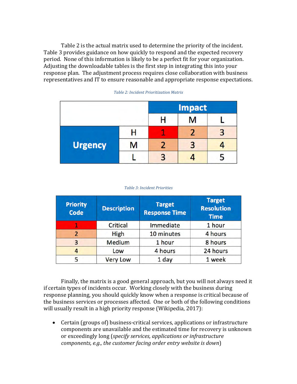Table 2 is the actual matrix used to determine the priority of the incident. Table 3 provides guidance on how quickly to respond and the expected recovery period. None of this information is likely to be a perfect fit for your organization. Adjusting the downloadable tables is the first step in integrating this into your response plan. The adjustment process requires close collaboration with business representatives and IT to ensure reasonable and appropriate response expectations.

|                |   | <b>Impact</b> |   |  |  |
|----------------|---|---------------|---|--|--|
|                |   |               | м |  |  |
| <b>Urgency</b> |   |               |   |  |  |
|                | м |               |   |  |  |
|                |   |               |   |  |  |

*Table 2: Incident Prioritization Matrix*

#### *Table 3: Incident Priorities*

| <b>Priority</b><br><b>Code</b> | <b>Description</b> | <b>Target</b><br><b>Response Time</b> | <b>Target</b><br><b>Resolution</b><br><b>Time</b> |  |
|--------------------------------|--------------------|---------------------------------------|---------------------------------------------------|--|
| 1                              | Critical           | Immediate                             | 1 hour                                            |  |
| $\overline{2}$                 | High               | 10 minutes                            | 4 hours                                           |  |
| 3                              | Medium             | 1 hour                                | 8 hours                                           |  |
| 4                              | Low                | 4 hours                               | 24 hours                                          |  |
| 5                              | <b>Very Low</b>    | 1 day                                 | 1 week                                            |  |

Finally, the matrix is a good general approach, but you will not always need it if certain types of incidents occur. Working closely with the business during response planning, you should quickly know when a response is critical because of the business services or processes affected. One or both of the following conditions will usually result in a high priority response (Wikipedia, 2017):

• Certain (groups of) business-critical services, applications or infrastructure components are unavailable and the estimated time for recovery is unknown or exceedingly long (*specify services, applications or infrastructure components, e.g., the customer facing order entry website is down*)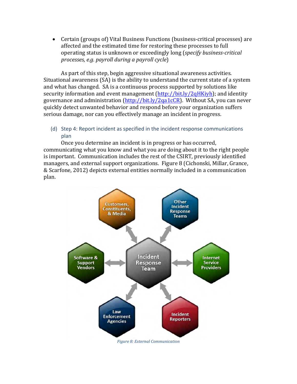• Certain (groups of) Vital Business Functions (business-critical processes) are affected and the estimated time for restoring these processes to full operating status is unknown or exceedingly long (*specify business-critical processes, e.g. payroll during a payroll cycle*)

As part of this step, begin aggressive situational awareness activities. Situational awareness (SA) is the ability to understand the current state of a system and what has changed. SA is a continuous process supported by solutions like security information and event management  $\frac{http://bitly/2qHKiyh)}{$  and identity governance and administration (http://bit.ly/2qa1cCR). Without SA, you can never quickly detect unwanted behavior and respond before your organization suffers serious damage, nor can you effectively manage an incident in progress.

(d) Step 4: Report incident as specified in the incident response communications plan 

Once you determine an incident is in progress or has occurred, communicating what you know and what you are doing about it to the right people is important. Communication includes the rest of the CSIRT, previously identified managers, and external support organizations. Figure 8 (Cichonski, Millar, Grance, & Scarfone, 2012) depicts external entities normally included in a communication plan.

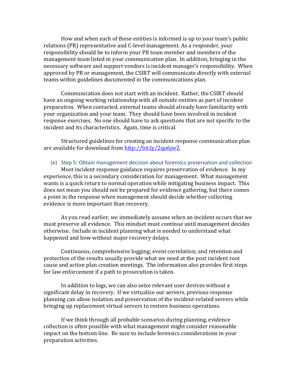How and when each of these entities is informed is up to your team's public relations (PR) representative and C-level management. As a responder, your responsibility should be to inform your PR team member and members of the management team listed in your communication plan. In addition, bringing in the necessary software and support vendors is incident manager's responsibility. When approved by PR or management, the CSIRT will communicate directly with external teams within guidelines documented in the communications plan.

Communication does not start with an incident. Rather, the CSIRT should have an ongoing working relationship with all outside entities as part of incident preparation. When contacted, external teams should already have familiarity with your organization and your team. They should have been involved in incident response exercises. No one should have to ask questions that are not specific to the incident and its characteristics. Again, time is critical.

Structured guidelines for creating an incident response communication plan are available for download from http://bit.ly/2qu6jwZ.

(e) Step 5: Obtain management decision about forensics preservation and collection Most incident response guidance requires preservation of evidence. In my experience, this is a secondary consideration for management. What management wants is a quick return to normal operation while mitigating business impact. This does not mean you should not be prepared for evidence gathering, but there comes a point in the response when management should decide whether collecting evidence is more important than recovery.

As you read earlier, we immediately assume when an incident occurs that we must preserve all evidence. This mindset must continue until management decides otherwise. Include in incident planning what is needed to understand what happened and how without major recovery delays.

Continuous, comprehensive logging; event correlation; and retention and protection of the results usually provide what we need at the post incident root cause and action plan creation meetings. The information also provides first steps for law enforcement if a path to prosecution is taken.

In addition to logs, we can also seize relevant user devices without a significant delay in recovery. If we virtualize our servers, previous response planning can allow isolation and preservation of the incident-related servers while bringing up replacement virtual servers to restore business operations.

If we think through all probable scenarios during planning, evidence collection is often possible with what management might consider reasonable impact on the bottom line. Be sure to include forensics considerations in your preparation activities.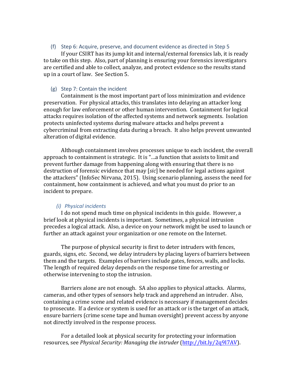#### (f) Step 6: Acquire, preserve, and document evidence as directed in Step 5

If your CSIRT has its jump kit and internal/external forensics lab, it is ready to take on this step. Also, part of planning is ensuring your forensics investigators are certified and able to collect, analyze, and protect evidence so the results stand up in a court of law. See Section 5.

#### $(g)$  Step 7: Contain the incident

Containment is the most important part of loss minimization and evidence preservation. For physical attacks, this translates into delaying an attacker long enough for law enforcement or other human intervention. Containment for logical attacks requires isolation of the affected systems and network segments. Isolation protects uninfected systems during malware attacks and helps prevent a cybercriminal from extracting data during a breach. It also helps prevent unwanted alteration of digital evidence.

Although containment involves processes unique to each incident, the overall approach to containment is strategic. It is "...a function that assists to limit and prevent further damage from happening along with ensuring that there is no destruction of forensic evidence that may [sic] be needed for legal actions against the attackers" (InfoSec Nirvana, 2015). Using scenario planning, assess the need for containment, how containment is achieved, and what you must do prior to an incident to prepare.

#### *(i) Physical incidents*

I do not spend much time on physical incidents in this guide. However, a brief look at physical incidents is important. Sometimes, a physical intrusion precedes a logical attack. Also, a device on your network might be used to launch or further an attack against your organization or one remote on the Internet.

The purpose of physical security is first to deter intruders with fences, guards, signs, etc. Second, we delay intruders by placing layers of barriers between them and the targets. Examples of barriers include gates, fences, walls, and locks. The length of required delay depends on the response time for arresting or otherwise intervening to stop the intrusion.

Barriers alone are not enough. SA also applies to physical attacks. Alarms, cameras, and other types of sensors help track and apprehend an intruder. Also, containing a crime scene and related evidence is necessary if management decides to prosecute. If a device or system is used for an attack or is the target of an attack, ensure barriers (crime scene tape and human oversight) prevent access by anyone not directly involved in the response process.

For a detailed look at physical security for protecting your information resources, see *Physical Security: Managing the intruder* (http://bit.ly/2q9I7AV).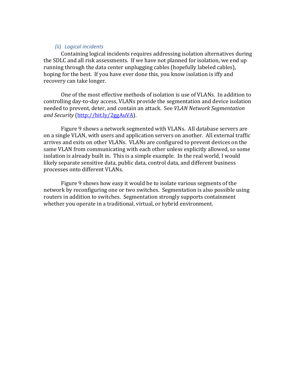#### *(ii)* Logical incidents

Containing logical incidents requires addressing isolation alternatives during the SDLC and all risk assessments. If we have not planned for isolation, we end up running through the data center unplugging cables (hopefully labeled cables), hoping for the best. If you have ever done this, you know isolation is iffy and recovery can take longer.

One of the most effective methods of isolation is use of VLANs. In addition to controlling day-to-day access, VLANs provide the segmentation and device isolation needed to prevent, deter, and contain an attack. See *VLAN Network Segmentation and Security* (http://bit.ly/2ggAuVA). 

Figure 9 shows a network segmented with VLANs. All database servers are on a single VLAN, with users and application servers on another. All external traffic arrives and exits on other VLANs. VLANs are configured to prevent devices on the same VLAN from communicating with each other unless explicitly allowed, so some isolation is already built in. This is a simple example. In the real world, I would likely separate sensitive data, public data, control data, and different business processes onto different VLANs.

Figure 9 shows how easy it would be to isolate various segments of the network by reconfiguring one or two switches. Segmentation is also possible using routers in addition to switches. Segmentation strongly supports containment whether you operate in a traditional, virtual, or hybrid environment.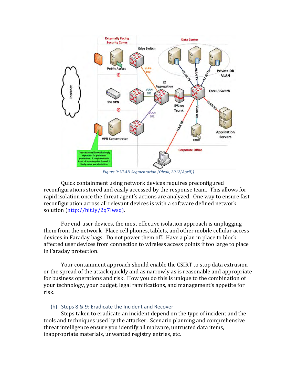

*Figure 9: VLAN Segmentation (Olzak, 2012(April))*

Quick containment using network devices requires preconfigured reconfigurations stored and easily accessed by the response team. This allows for rapid isolation once the threat agent's actions are analyzed. One way to ensure fast reconfiguration across all relevant devices is with a software defined network solution (http://bit.ly/2q7lwsq).

For end-user devices, the most effective isolation approach is unplugging them from the network. Place cell phones, tablets, and other mobile cellular access devices in Faraday bags. Do not power them off. Have a plan in place to block affected user devices from connection to wireless access points if too large to place in Faraday protection.

Your containment approach should enable the CSIRT to stop data extrusion or the spread of the attack quickly and as narrowly as is reasonable and appropriate for business operations and risk. How you do this is unique to the combination of your technology, your budget, legal ramifications, and management's appetite for risk.

#### (h) Steps 8 & 9: Eradicate the Incident and Recover

Steps taken to eradicate an incident depend on the type of incident and the tools and techniques used by the attacker. Scenario planning and comprehensive threat intelligence ensure you identify all malware, untrusted data items, inappropriate materials, unwanted registry entries, etc.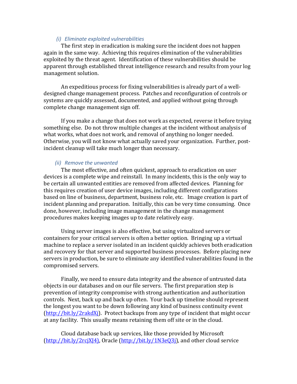### *(i) Eliminate exploited vulnerabilities*

The first step in eradication is making sure the incident does not happen again in the same way. Achieving this requires elimination of the vulnerabilities exploited by the threat agent. Identification of these vulnerabilities should be apparent through established threat intelligence research and results from your log management solution.

An expeditious process for fixing vulnerabilities is already part of a welldesigned change management process. Patches and reconfiguration of controls or systems are quickly assessed, documented, and applied without going through complete change management sign off.

If you make a change that does not work as expected, reverse it before trying something else. Do not throw multiple changes at the incident without analysis of what works, what does not work, and removal of anything no longer needed. Otherwise, you will not know what actually saved your organization. Further, postincident cleanup will take much longer than necessary.

#### *(ii)* Remove the unwanted

The most effective, and often quickest, approach to eradication on user devices is a complete wipe and reinstall. In many incidents, this is the only way to be certain all unwanted entities are removed from affected devices. Planning for this requires creation of user device images, including different configurations based on line of business, department, business role, etc. Image creation is part of incident planning and preparation. Initially, this can be very time consuming. Once done, however, including image management in the change management procedures makes keeping images up to date relatively easy.

Using server images is also effective, but using virtualized servers or containers for your critical servers is often a better option. Bringing up a virtual machine to replace a server isolated in an incident quickly achieves both eradication and recovery for that server and supported business processes. Before placing new servers in production, be sure to eliminate any identified vulnerabilities found in the compromised servers.

Finally, we need to ensure data integrity and the absence of untrusted data objects in our databases and on our file servers. The first preparation step is prevention of integrity compromise with strong authentication and authorization controls. Next, back up and back up often. Your back up timeline should represent the longest you want to be down following any kind of business continuity event  $(\text{http://bit.ly/2rakdXi})$ . Protect backups from any type of incident that might occur at any facility. This usually means retaining them off site or in the cloud.

Cloud database back up services, like those provided by Microsoft  $(\frac{http://bit.ly/2rcjXJ4)}{http://bit.ly/1N3e03j)}$ , and other cloud service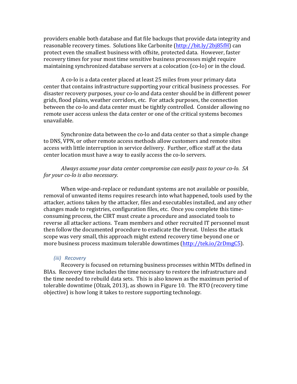providers enable both database and flat file backups that provide data integrity and reasonable recovery times. Solutions like Carbonite (http://bit.ly/2bj85fH) can protect even the smallest business with offsite, protected data. However, faster recovery times for your most time sensitive business processes might require maintaining synchronized database servers at a colocation (co-lo) or in the cloud.

A co-lo is a data center placed at least 25 miles from your primary data center that contains infrastructure supporting your critical business processes. For disaster recovery purposes, your co-lo and data center should be in different power grids, flood plains, weather corridors, etc. For attack purposes, the connection between the co-lo and data center must be tightly controlled. Consider allowing no remote user access unless the data center or one of the critical systems becomes unavailable.

Synchronize data between the co-lo and data center so that a simple change to DNS, VPN, or other remote access methods allow customers and remote sites access with little interruption in service delivery. Further, office staff at the data center location must have a way to easily access the co-lo servers.

*Always assume your data center compromise can easily pass to your co-lo.* SA *for your co-lo is also necessary.* 

When wipe-and-replace or redundant systems are not available or possible, removal of unwanted items requires research into what happened, tools used by the attacker, actions taken by the attacker, files and executables installed, and any other changes made to registries, configuration files, etc. Once you complete this timeconsuming process, the CIRT must create a procedure and associated tools to reverse all attacker actions. Team members and other recruited IT personnel must then follow the documented procedure to eradicate the threat. Unless the attack scope was very small, this approach might extend recovery time beyond one or more business process maximum tolerable downtimes (http://tek.io/2rDmgC5).

#### *(iii)* Recovery

Recovery is focused on returning business processes within MTDs defined in BIAs. Recovery time includes the time necessary to restore the infrastructure and the time needed to rebuild data sets. This is also known as the maximum period of tolerable downtime (Olzak, 2013), as shown in Figure 10. The RTO (recovery time objective) is how long it takes to restore supporting technology.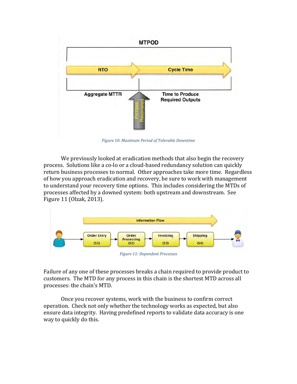

Figure 10: Maximum Period of Tolerable Downtime

We previously looked at eradication methods that also begin the recovery process. Solutions like a co-lo or a cloud-based redundancy solution can quickly return business processes to normal. Other approaches take more time. Regardless of how you approach eradication and recovery, be sure to work with management to understand your recovery time options. This includes considering the MTDs of processes affected by a downed system: both upstream and downstream. See Figure 11 (Olzak, 2013).



Failure of any one of these processes breaks a chain required to provide product to customers. The MTD for any process in this chain is the shortest MTD across all processes: the chain's MTD.

Once you recover systems, work with the business to confirm correct operation. Check not only whether the technology works as expected, but also ensure data integrity. Having predefined reports to validate data accuracy is one way to quickly do this.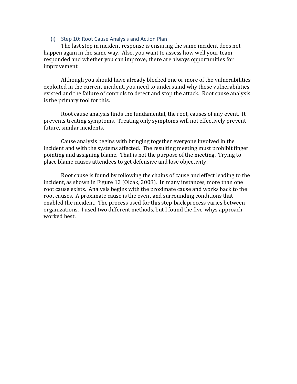### (i) Step 10: Root Cause Analysis and Action Plan

The last step in incident response is ensuring the same incident does not happen again in the same way. Also, you want to assess how well your team responded and whether you can improve; there are always opportunities for improvement. 

Although you should have already blocked one or more of the vulnerabilities exploited in the current incident, you need to understand why those vulnerabilities existed and the failure of controls to detect and stop the attack. Root cause analysis is the primary tool for this.

Root cause analysis finds the fundamental, the root, causes of any event. It prevents treating symptoms. Treating only symptoms will not effectively prevent future, similar incidents.

Cause analysis begins with bringing together everyone involved in the incident and with the systems affected. The resulting meeting must prohibit finger pointing and assigning blame. That is not the purpose of the meeting. Trying to place blame causes attendees to get defensive and lose objectivity.

Root cause is found by following the chains of cause and effect leading to the incident, as shown in Figure 12 (Olzak, 2008). In many instances, more than one root cause exists. Analysis begins with the proximate cause and works back to the root causes. A proximate cause is the event and surrounding conditions that enabled the incident. The process used for this step-back process varies between organizations. I used two different methods, but I found the five-whys approach worked best.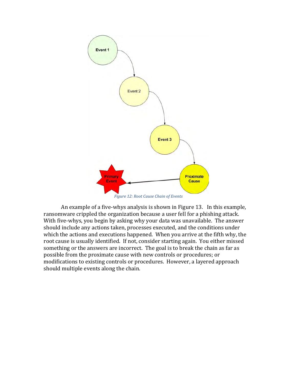

An example of a five-whys analysis is shown in Figure 13. In this example, ransomware crippled the organization because a user fell for a phishing attack. With five-whys, you begin by asking why your data was unavailable. The answer should include any actions taken, processes executed, and the conditions under which the actions and executions happened. When you arrive at the fifth why, the root cause is usually identified. If not, consider starting again. You either missed something or the answers are incorrect. The goal is to break the chain as far as possible from the proximate cause with new controls or procedures; or modifications to existing controls or procedures. However, a layered approach should multiple events along the chain.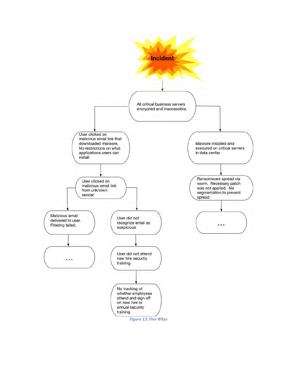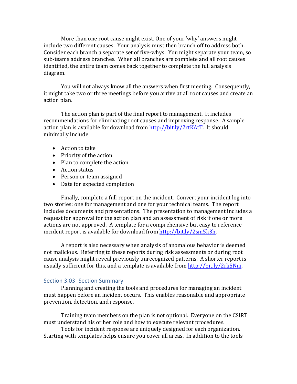More than one root cause might exist. One of your 'why' answers might include two different causes. Your analysis must then branch off to address both. Consider each branch a separate set of five-whys. You might separate your team, so sub-teams address branches. When all branches are complete and all root causes identified, the entire team comes back together to complete the full analysis diagram. 

You will not always know all the answers when first meeting. Consequently, it might take two or three meetings before you arrive at all root causes and create an action plan.

The action plan is part of the final report to management. It includes recommendations for eliminating root causes and improving response. A sample action plan is available for download from http://bit.ly/2rtKAtT. It should minimally include

- Action to take
- Priority of the action
- $\bullet$  Plan to complete the action
- Action status
- Person or team assigned
- Date for expected completion

Finally, complete a full report on the incident. Convert your incident log into two stories: one for management and one for your technical teams. The report includes documents and presentations. The presentation to management includes a request for approval for the action plan and an assessment of risk if one or more actions are not approved. A template for a comprehensive but easy to reference incident report is available for download from http://bit.ly/2sm5k3h.

A report is also necessary when analysis of anomalous behavior is deemed not malicious. Referring to these reports during risk assessments or during root cause analysis might reveal previously unrecognized patterns. A shorter report is usually sufficient for this, and a template is available from http://bit.ly/2rk5Nui.

#### Section 3.03 Section Summary

Planning and creating the tools and procedures for managing an incident must happen before an incident occurs. This enables reasonable and appropriate prevention, detection, and response.

Training team members on the plan is not optional. Everyone on the CSIRT must understand his or her role and how to execute relevant procedures.

Tools for incident response are uniquely designed for each organization. Starting with templates helps ensure you cover all areas. In addition to the tools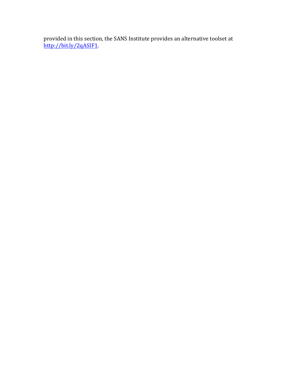provided in this section, the SANS Institute provides an alternative toolset at http://bit.ly/2qASIF1.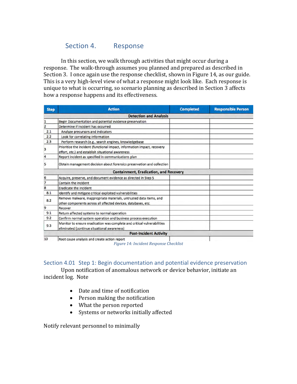## Section 4. Response

In this section, we walk through activities that might occur during a response. The walk-through assumes you planned and prepared as described in Section 3. I once again use the response checklist, shown in Figure 14, as our guide. This is a very high-level view of what a response might look like. Each response is unique to what is occurring, so scenario planning as described in Section  $\overline{3}$  affects how a response happens and its effectiveness.

| <b>Step</b>    | <b>Action</b>                                                                                                                       | <b>Completed</b> | <b>Responsible Person</b> |  |  |  |
|----------------|-------------------------------------------------------------------------------------------------------------------------------------|------------------|---------------------------|--|--|--|
|                | <b>Detection and Analysis</b>                                                                                                       |                  |                           |  |  |  |
| 1              | Begin Documentation and potential evidence preservation                                                                             |                  |                           |  |  |  |
| $\overline{z}$ | Determine if incident has occurred                                                                                                  |                  |                           |  |  |  |
| 2.1            | Analyze precursors and indicators                                                                                                   |                  |                           |  |  |  |
| 2.2            | Look for correlating information                                                                                                    |                  |                           |  |  |  |
| 2.3            | Perform research (e.g., search engines, knowledgebase                                                                               |                  |                           |  |  |  |
| 3              | Prioritize the incident (functional impact, information impact, recovery<br>effort, etc.) and establish situational awareness       |                  |                           |  |  |  |
| 4              | Report incident as specified in communications plan                                                                                 |                  |                           |  |  |  |
| 5              | Obtain management decision about forensics preservation and collection                                                              |                  |                           |  |  |  |
|                | <b>Containment, Eradication, and Recovery</b>                                                                                       |                  |                           |  |  |  |
| 6              | Acquire, preserve, and document evidence as directed in Step 5                                                                      |                  |                           |  |  |  |
| 7              | Contain the incident                                                                                                                |                  |                           |  |  |  |
| 8              | <b>Eradicate the incident</b>                                                                                                       |                  |                           |  |  |  |
| 8.1            | Identify and mitigate critical exploited vulnerabilities                                                                            |                  |                           |  |  |  |
| 8.2            | Remove malware, inappropriate materials, untrusted data items, and<br>other components across all affected devices, databases, etc. |                  |                           |  |  |  |
| 9              | Recover                                                                                                                             |                  |                           |  |  |  |
| 9.1            | Return affected systems to normal operation                                                                                         |                  |                           |  |  |  |
| 9.2            | Confirm normal system operation and business process execution                                                                      |                  |                           |  |  |  |
| 9.3            | Monitor to ensure eradication was complete and critical vulnerabilities<br>eliminated (continue situational awareness)              |                  |                           |  |  |  |
|                | <b>Post-Incident Activity</b>                                                                                                       |                  |                           |  |  |  |
| 10             | Root cause analysis and create action report                                                                                        |                  |                           |  |  |  |

*Figure 14: Incident Response Checklist*

## Section 4.01 Step 1: Begin documentation and potential evidence preservation

Upon notification of anomalous network or device behavior, initiate an incident log. Note

- Date and time of notification
- Person making the notification
- What the person reported
- Systems or networks initially affected

Notify relevant personnel to minimally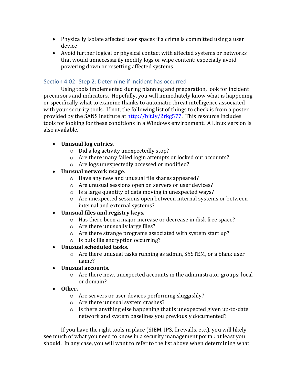- Physically isolate affected user spaces if a crime is committed using a user device
- Avoid further logical or physical contact with affected systems or networks that would unnecessarily modify logs or wipe content: especially avoid powering down or resetting affected systems

## Section 4.02 Step 2: Determine if incident has occurred

Using tools implemented during planning and preparation, look for incident precursors and indicators. Hopefully, you will immediately know what is happening or specifically what to examine thanks to automatic threat intelligence associated with your security tools. If not, the following list of things to check is from a poster provided by the SANS Institute at  $http://bit.ly/2rkg577$ . This resource includes tools for looking for these conditions in a Windows environment. A Linux version is also available.

## • **Unusual log entries**.

- $\circ$  Did a log activity unexpectedly stop?
- $\circ$  Are there many failed login attempts or locked out accounts?
- o Are logs unexpectedly accessed or modified?

## • **Unusual network usage.**

- $\circ$  Have any new and unusual file shares appeared?
- $\circ$  Are unusual sessions open on servers or user devices?
- $\circ$  Is a large quantity of data moving in unexpected ways?
- $\circ$  Are unexpected sessions open between internal systems or between internal and external systems?

## • Unusual files and registry keys.

- $\circ$  Has there been a major increase or decrease in disk free space?
- $\circ$  Are there unusually large files?
- $\circ$  Are there strange programs associated with system start up?
- $\circ$  Is bulk file encryption occurring?
- **Unusual scheduled tasks.** 
	- $\circ$  Are there unusual tasks running as admin, SYSTEM, or a blank user name?
- **Unusual accounts.** 
	- $\circ$  Are there new, unexpected accounts in the administrator groups: local or domain?
- **Other.**
	- $\circ$  Are servers or user devices performing sluggishly?
	- $\circ$  Are there unusual system crashes?
	- $\circ$  Is there anything else happening that is unexpected given up-to-date network and system baselines you previously documented?

If you have the right tools in place (SIEM, IPS, firewalls, etc.), you will likely see much of what you need to know in a security management portal: at least you should. In any case, you will want to refer to the list above when determining what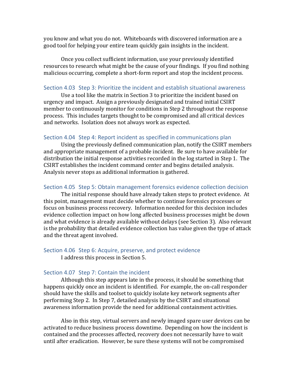you know and what you do not. Whiteboards with discovered information are a good tool for helping your entire team quickly gain insights in the incident.

Once you collect sufficient information, use your previously identified resources to research what might be the cause of your findings. If you find nothing malicious occurring, complete a short-form report and stop the incident process.

#### Section 4.03 Step 3: Prioritize the incident and establish situational awareness

Use a tool like the matrix in Section 3 to prioritize the incident based on urgency and impact. Assign a previously designated and trained initial CSIRT member to continuously monitor for conditions in Step 2 throughout the response process. This includes targets thought to be compromised and all critical devices and networks. Isolation does not always work as expected.

#### Section 4.04 Step 4: Report incident as specified in communications plan

Using the previously defined communication plan, notify the CSIRT members and appropriate management of a probable incident. Be sure to have available for distribution the initial response activities recorded in the log started in Step 1. The CSIRT establishes the incident command center and begins detailed analysis. Analysis never stops as additional information is gathered.

#### Section 4.05 Step 5: Obtain management forensics evidence collection decision

The initial response should have already taken steps to protect evidence. At this point, management must decide whether to continue forensics processes or focus on business process recovery. Information needed for this decision includes evidence collection impact on how long affected business processes might be down and what evidence is already available without delays (see Section 3). Also relevant is the probability that detailed evidence collection has value given the type of attack and the threat agent involved.

#### Section 4.06 Step 6: Acquire, preserve, and protect evidence

I address this process in Section 5.

#### Section 4.07 Step 7: Contain the incident

Although this step appears late in the process, it should be something that happens quickly once an incident is identified. For example, the on-call responder should have the skills and toolset to quickly isolate key network segments after performing Step 2. In Step 7, detailed analysis by the CSIRT and situational awareness information provide the need for additional containment activities.

Also in this step, virtual servers and newly imaged spare user devices can be activated to reduce business process downtime. Depending on how the incident is contained and the processes affected, recovery does not necessarily have to wait until after eradication. However, be sure these systems will not be compromised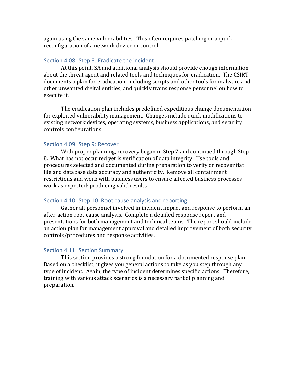again using the same vulnerabilities. This often requires patching or a quick reconfiguration of a network device or control.

#### Section 4.08 Step 8: Eradicate the incident

At this point, SA and additional analysis should provide enough information about the threat agent and related tools and techniques for eradication. The CSIRT documents a plan for eradication, including scripts and other tools for malware and other unwanted digital entities, and quickly trains response personnel on how to execute it.

The eradication plan includes predefined expeditious change documentation for exploited vulnerability management. Changes include quick modifications to existing network devices, operating systems, business applications, and security controls configurations.

#### Section 4.09 Step 9: Recover

With proper planning, recovery began in Step 7 and continued through Step 8. What has not occurred yet is verification of data integrity. Use tools and procedures selected and documented during preparation to verify or recover flat file and database data accuracy and authenticity. Remove all containment restrictions and work with business users to ensure affected business processes work as expected: producing valid results.

#### Section 4.10 Step 10: Root cause analysis and reporting

Gather all personnel involved in incident impact and response to perform an after-action root cause analysis. Complete a detailed response report and presentations for both management and technical teams. The report should include an action plan for management approval and detailed improvement of both security controls/procedures and response activities.

#### Section 4.11 Section Summary

This section provides a strong foundation for a documented response plan. Based on a checklist, it gives you general actions to take as you step through any type of incident. Again, the type of incident determines specific actions. Therefore, training with various attack scenarios is a necessary part of planning and preparation.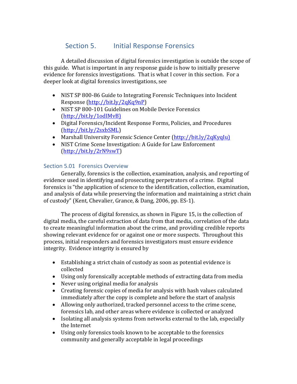## Section 5. Initial Response Forensics

A detailed discussion of digital forensics investigation is outside the scope of this guide. What is important in any response guide is how to initially preserve evidence for forensics investigations. That is what I cover in this section. For a deeper look at digital forensics investigations, see

- NIST SP 800-86 Guide to Integrating Forensic Techniques into Incident Response (http://bit.ly/2qKq9nP)
- NIST SP 800-101 Guidelines on Mobile Device Forensics (http://bit.ly/1odIMvB)
- Digital Forensics/Incident Response Forms, Policies, and Procedures (http://bit.ly/2sxbSML)
- Marshall University Forensic Science Center (http://bit.ly/2qKyqIu)
- NIST Crime Scene Investigation: A Guide for Law Enforcement (http://bit.ly/2rN9swT)

## Section 5.01 Forensics Overview

Generally, forensics is the collection, examination, analysis, and reporting of evidence used in identifying and prosecuting perpetrators of a crime. Digital forensics is "the application of science to the identification, collection, examination, and analysis of data while preserving the information and maintaining a strict chain of custody" (Kent, Chevalier, Grance, & Dang, 2006, pp. ES-1).

The process of digital forensics, as shown in Figure 15, is the collection of digital media, the careful extraction of data from that media, correlation of the data to create meaningful information about the crime, and providing credible reports showing relevant evidence for or against one or more suspects. Throughout this process, initial responders and forensics investigators must ensure evidence integrity. Evidence integrity is ensured by

- Establishing a strict chain of custody as soon as potential evidence is collected
- Using only forensically acceptable methods of extracting data from media
- Never using original media for analysis
- Creating forensic copies of media for analysis with hash values calculated immediately after the copy is complete and before the start of analysis
- Allowing only authorized, tracked personnel access to the crime scene, forensics lab, and other areas where evidence is collected or analyzed
- Isolating all analysis systems from networks external to the lab, especially the Internet
- Using only forensics tools known to be acceptable to the forensics community and generally acceptable in legal proceedings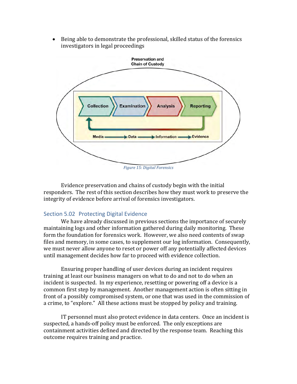• Being able to demonstrate the professional, skilled status of the forensics investigators in legal proceedings



Evidence preservation and chains of custody begin with the initial responders. The rest of this section describes how they must work to preserve the integrity of evidence before arrival of forensics investigators.

#### Section 5.02 Protecting Digital Evidence

We have already discussed in previous sections the importance of securely maintaining logs and other information gathered during daily monitoring. These form the foundation for forensics work. However, we also need contents of swap files and memory, in some cases, to supplement our log information. Consequently, we must never allow anyone to reset or power off any potentially affected devices until management decides how far to proceed with evidence collection.

Ensuring proper handling of user devices during an incident requires training at least our business managers on what to do and not to do when an incident is suspected. In my experience, resetting or powering off a device is a common first step by management. Another management action is often sitting in front of a possibly compromised system, or one that was used in the commission of a crime, to "explore." All these actions must be stopped by policy and training.

IT personnel must also protect evidence in data centers. Once an incident is suspected, a hands-off policy must be enforced. The only exceptions are containment activities defined and directed by the response team. Reaching this outcome requires training and practice.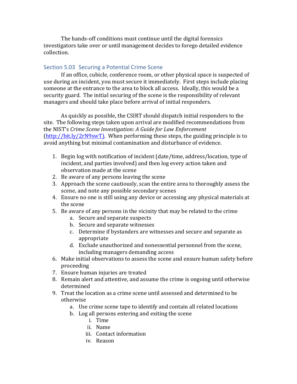The hands-off conditions must continue until the digital forensics investigators take over or until management decides to forego detailed evidence collection.

## Section 5.03 Securing a Potential Crime Scene

If an office, cubicle, conference room, or other physical space is suspected of use during an incident, you must secure it immediately. First steps include placing someone at the entrance to the area to block all access. Ideally, this would be a security guard. The initial securing of the scene is the responsibility of relevant managers and should take place before arrival of initial responders.

As quickly as possible, the CSIRT should dispatch initial responders to the site. The following steps taken upon arrival are modified recommendations from the NIST's *Crime Scene Investigation: A Guide for Law Enforcement*  $(\text{http://bit.ly/2rN9swT})$ . When performing these steps, the guiding principle is to avoid anything but minimal contamination and disturbance of evidence.

- 1. Begin log with notification of incident (date/time, address/location, type of incident, and parties involved) and then log every action taken and observation made at the scene
- 2. Be aware of any persons leaving the scene
- 3. Approach the scene cautiously, scan the entire area to thoroughly assess the scene, and note any possible secondary scenes
- 4. Ensure no one is still using any device or accessing any physical materials at the scene
- 5. Be aware of any persons in the vicinity that may be related to the crime
	- a. Secure and separate suspects
	- b. Secure and separate witnesses
	- c. Determine if bystanders are witnesses and secure and separate as appropriate
	- d. Exclude unauthorized and nonessential personnel from the scene, including managers demanding access
- 6. Make initial observations to assess the scene and ensure human safety before proceeding
- 7. Ensure human injuries are treated
- 8. Remain alert and attentive, and assume the crime is ongoing until otherwise determined
- 9. Treat the location as a crime scene until assessed and determined to be otherwise
	- a. Use crime scene tape to identify and contain all related locations
	- b. Log all persons entering and exiting the scene
		- i. Time
		- ii. Name
		- iii. Contact information
		- iv. Reason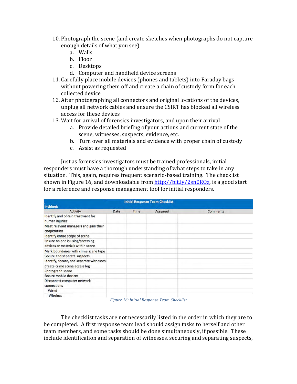- 10. Photograph the scene (and create sketches when photographs do not capture enough details of what you see)
	- a. Walls
	- b. Floor
	- c. Desktops
	- d. Computer and handheld device screens
- 11. Carefully place mobile devices (phones and tablets) into Faraday bags without powering them off and create a chain of custody form for each collected device
- 12. After photographing all connectors and original locations of the devices, unplug all network cables and ensure the CSIRT has blocked all wireless access for these devices
- 13. Wait for arrival of forensics investigators, and upon their arrival
	- a. Provide detailed briefing of your actions and current state of the scene, witnesses, suspects, evidence, etc.
	- b. Turn over all materials and evidence with proper chain of custody
	- c. Assist as requested

Just as forensics investigators must be trained professionals, initial responders must have a thorough understanding of what steps to take in any situation. This, again, requires frequent scenario-based training. The checklist shown in Figure 16, and downloadable from  $http://bitlly/2sn0ROz$ , is a good start for a reference and response management tool for initial responders.

|                                                                       |      |             | <b>Initial Response Team Checklist</b> |                 |  |  |
|-----------------------------------------------------------------------|------|-------------|----------------------------------------|-----------------|--|--|
| incident:                                                             |      |             |                                        |                 |  |  |
| <b>Activity</b>                                                       | Date | <b>Time</b> | Assigned                               | <b>Comments</b> |  |  |
| Identify and obtain treatment for<br>human injuries                   |      |             |                                        |                 |  |  |
| Meet relevant managers and gain their<br>cooperation                  |      |             |                                        |                 |  |  |
| Identify entire scope of scene                                        |      |             |                                        |                 |  |  |
| Ensure no one is using/accessing<br>devices or materials within scene |      |             |                                        |                 |  |  |
| Mark boundaires with crime scene tape                                 |      |             |                                        |                 |  |  |
| Secure and separate suspects                                          |      |             |                                        |                 |  |  |
| Identify, secure, and separate witnesses                              |      |             |                                        |                 |  |  |
| Create crime scene access log                                         |      |             |                                        |                 |  |  |
| Photograph scene                                                      |      |             |                                        |                 |  |  |
| Secure mobile devices                                                 |      |             |                                        |                 |  |  |
| Disconnect computer network<br>connections                            |      |             |                                        |                 |  |  |
| Wired                                                                 |      |             |                                        |                 |  |  |
| Wireless                                                              |      |             |                                        |                 |  |  |

*Figure 16: Initial Response Team Checklist*

The checklist tasks are not necessarily listed in the order in which they are to be completed. A first response team lead should assign tasks to herself and other team members, and some tasks should be done simultaneously, if possible. These include identification and separation of witnesses, securing and separating suspects,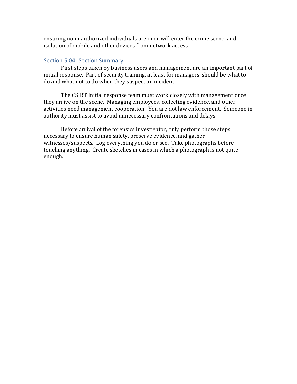ensuring no unauthorized individuals are in or will enter the crime scene, and isolation of mobile and other devices from network access.

#### Section 5.04 Section Summary

First steps taken by business users and management are an important part of initial response. Part of security training, at least for managers, should be what to do and what not to do when they suspect an incident.

The CSIRT initial response team must work closely with management once they arrive on the scene. Managing employees, collecting evidence, and other activities need management cooperation. You are not law enforcement. Someone in authority must assist to avoid unnecessary confrontations and delays.

Before arrival of the forensics investigator, only perform those steps necessary to ensure human safety, preserve evidence, and gather witnesses/suspects. Log everything you do or see. Take photographs before touching anything. Create sketches in cases in which a photograph is not quite enough.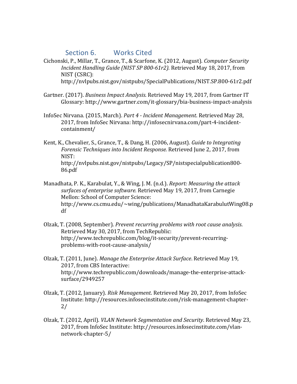## Section 6. Works Cited

Cichonski, P., Millar, T., Grance, T., & Scarfone, K. (2012, August). Computer Security *Incident Handling Guide (NIST SP 800-61r2).* Retrieved May 18, 2017, from NIST (CSRC): http://nvlpubs.nist.gov/nistpubs/SpecialPublications/NIST.SP.800-61r2.pdf

- Gartner. (2017). *Business Impact Analysis*. Retrieved May 19, 2017, from Gartner IT Glossary: http://www.gartner.com/it-glossary/bia-business-impact-analysis
- InfoSec Nirvana. (2015, March). *Part 4 - Incident Management*. Retrieved May 28, 2017, from InfoSec Nirvana: http://infosecnirvana.com/part-4-incidentcontainment/
- Kent, K., Chevalier, S., Grance, T., & Dang, H. (2006, August). *Guide to Integrating Forensic Techniques into Incident Response.* Retrieved June 2, 2017, from NIST: http://nvlpubs.nist.gov/nistpubs/Legacy/SP/nistspecialpublication800- 86.pdf
- Manadhata, P. K., Karabulat, Y., & Wing, J. M. (n.d.). *Report: Measuring the attack* surfaces of enterprise software. Retrieved May 19, 2017, from Carnegie Mellon: School of Computer Science: http://www.cs.cmu.edu/~wing/publications/ManadhataKarabulutWing08.p df
- Olzak, T. (2008, September). *Prevent recurring problems with root cause analysis.* Retrieved May 30, 2017, from TechRepublic: http://www.techrepublic.com/blog/it-security/prevent-recurringproblems-with-root-cause-analysis/
- Olzak, T. (2011, June). Manage the Enterprise Attack Surface. Retrieved May 19, 2017, from CBS Interactive: http://www.techrepublic.com/downloads/manage-the-enterprise-attacksurface/2949257
- Olzak, T. (2012, January). *Risk Management*. Retrieved May 20, 2017, from InfoSec Institute: http://resources.infosecinstitute.com/risk-management-chapter-2/
- Olzak, T. (2012, April). *VLAN Network Segmentation and Security*. Retrieved May 23, 2017, from InfoSec Institute: http://resources.infosecinstitute.com/vlannetwork-chapter-5/